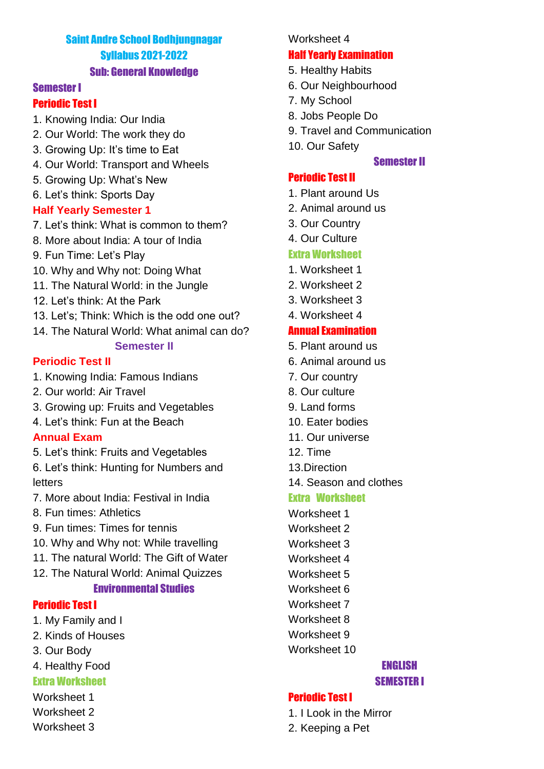# Saint Andre School Bodhjungnagar Syllabus 2021-2022 Sub: General Knowledge

#### Semester I

#### Periodic Test I

- 1. Knowing India: Our India
- 2. Our World: The work they do
- 3. Growing Up: It's time to Eat
- 4. Our World: Transport and Wheels
- 5. Growing Up: What's New
- 6. Let's think: Sports Day

### **Half Yearly Semester 1**

- 7. Let's think: What is common to them?
- 8. More about India: A tour of India
- 9. Fun Time: Let's Play
- 10. Why and Why not: Doing What
- 11. The Natural World: in the Jungle
- 12. Let's think: At the Park
- 13. Let's: Think: Which is the odd one out?
- 14. The Natural World: What animal can do?

#### **Semester II**

### **Periodic Test II**

- 1. Knowing India: Famous Indians
- 2. Our world: Air Travel
- 3. Growing up: Fruits and Vegetables
- 4. Let's think: Fun at the Beach

### **Annual Exam**

- 5. Let's think: Fruits and Vegetables
- 6. Let's think: Hunting for Numbers and letters
- 7. More about India: Festival in India
- 8. Fun times: Athletics
- 9. Fun times: Times for tennis
- 10. Why and Why not: While travelling
- 11. The natural World: The Gift of Water
- 12. The Natural World: Animal Quizzes

### Environmental Studies

#### Periodic Test I

- 1. My Family and I
- 2. Kinds of Houses
- 3. Our Body
- 4. Healthy Food

## Extra Worksheet

- Worksheet 1
- Worksheet 2
- Worksheet 3

#### Worksheet 4

### Half Yearly Examination

- 5. Healthy Habits
- 6. Our Neighbourhood
- 7. My School
- 8. Jobs People Do
- 9. Travel and Communication
- 10. Our Safety

### Semester II

### Periodic Test II

- 1. Plant around Us
- 2. Animal around us
- 3. Our Country
- 4. Our Culture

### Extra Worksheet

- 1. Worksheet 1
- 2. Worksheet 2
- 3. Worksheet 3
- 4. Worksheet 4

## Annual Examination

- 5. Plant around us
- 6. Animal around us
- 7. Our country
- 8. Our culture
- 9. Land forms
- 10. Eater bodies
- 11. Our universe
- 12. Time
- 13.Direction
- 14. Season and clothes

### Extra Worksheet

- Worksheet 1
- Worksheet 2
- Worksheet 3
- Worksheet 4
- Worksheet 5
- Worksheet 6
- Worksheet 7
- Worksheet 8
- Worksheet 9
- Worksheet 10

#### ENGLISH SEMESTER I

# Periodic Test I

- 1. I Look in the Mirror
- 2. Keeping a Pet
-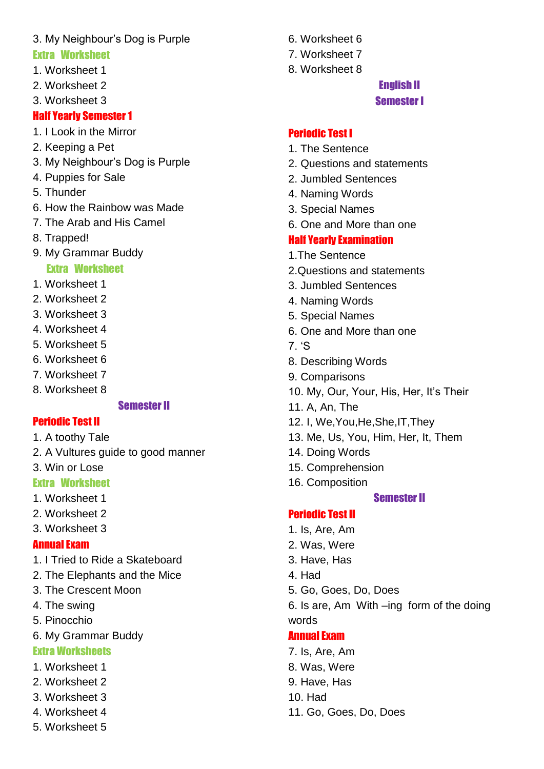# 3. My Neighbour's Dog is Purple

# Extra Worksheet

- 1. Worksheet 1
- 2. Worksheet 2
- 3. Worksheet 3

# Half Yearly Semester 1

- 1. I Look in the Mirror
- 2. Keeping a Pet
- 3. My Neighbour's Dog is Purple
- 4. Puppies for Sale
- 5. Thunder
- 6. How the Rainbow was Made
- 7. The Arab and His Camel
- 8. Trapped!
- 9. My Grammar Buddy

# Extra Worksheet

- 1. Worksheet 1
- 2. Worksheet 2
- 3. Worksheet 3
- 4. Worksheet 4
- 5. Worksheet 5
- 6. Worksheet 6
- 7. Worksheet 7
- 8. Worksheet 8

### Semester II

# Periodic Test II

- 1. A toothy Tale
- 2. A Vultures guide to good manner
- 3. Win or Lose

# Extra Worksheet

- 1. Worksheet 1
- 2. Worksheet 2
- 3. Worksheet 3

# Annual Exam

- 1. I Tried to Ride a Skateboard
- 2. The Elephants and the Mice
- 3. The Crescent Moon
- 4. The swing
- 5. Pinocchio
- 6. My Grammar Buddy

# Extra Worksheets

- 1. Worksheet 1
- 2. Worksheet 2
- 3. Worksheet 3
- 4. Worksheet 4
- 5. Worksheet 5
- 6. Worksheet 6
- 7. Worksheet 7
- 8. Worksheet 8

# English II Semester I

## Periodic Test I

- 1. The Sentence
- 2. Questions and statements
- 2. Jumbled Sentences
- 4. Naming Words
- 3. Special Names
- 6. One and More than one

# Half Yearly Examination

- 1.The Sentence
- 2.Questions and statements
- 3. Jumbled Sentences
- 4. Naming Words
- 5. Special Names
- 6. One and More than one
- 7. 'S
- 8. Describing Words
- 9. Comparisons
- 10. My, Our, Your, His, Her, It's Their
- 11. A, An, The
- 12. I, We,You,He,She,IT,They
- 13. Me, Us, You, Him, Her, It, Them
- 14. Doing Words
- 15. Comprehension
- 16. Composition

### Semester II

### Periodic Test II

- 1. Is, Are, Am
- 2. Was, Were
- 3. Have, Has
- 4. Had
- 5. Go, Goes, Do, Does
- 6. Is are, Am With –ing form of the doing words

### Annual Exam

- 7. Is, Are, Am
- 8. Was, Were
- 9. Have, Has
- 10. Had
- 11. Go, Goes, Do, Does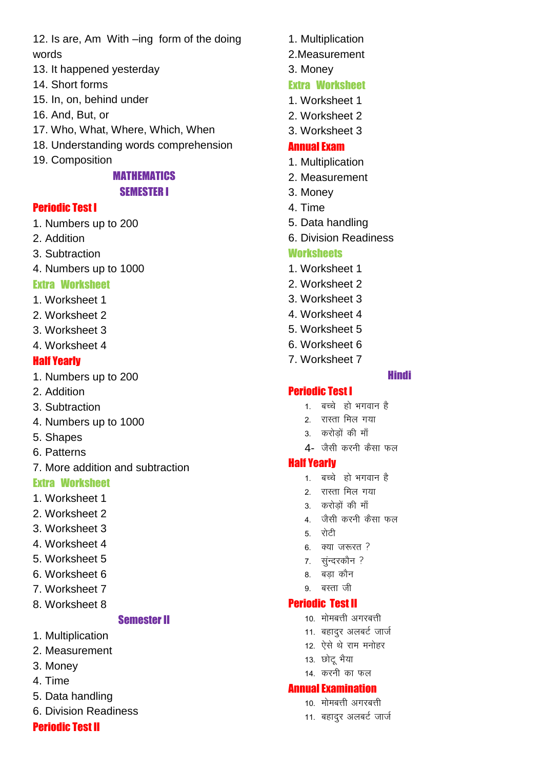12. Is are, Am With -ing form of the doing words

- 13. It happened yesterday
- 14. Short forms
- 15. In. on, behind under
- 16. And, But, or
- 17. Who, What, Where, Which, When
- 18. Understanding words comprehension
- 19. Composition

## **MATHEMATICS SEMESTER I**

### **Periodic Test I**

- 1. Numbers up to 200
- 2. Addition
- 3. Subtraction
- 4. Numbers up to 1000

## **Extra Worksheet**

- 1. Worksheet 1
- 2. Worksheet 2
- 3. Worksheet 3
- 4. Worksheet 4

## **Half Yearly**

- 1. Numbers up to 200
- 2. Addition
- 3. Subtraction
- 4. Numbers up to 1000
- 5. Shapes
- 6. Patterns
- 7. More addition and subtraction

### **Extra Worksheet**

- 1. Worksheet 1
- 2. Worksheet 2
- 3. Worksheet 3
- 4. Worksheet 4
- 5. Worksheet 5
- 6. Worksheet 6
- 7. Worksheet 7
- 8. Worksheet 8

### **Semester II**

- 1. Multiplication
- 2. Measurement
- 3. Monev
- 4. Time
- 5. Data handling
- 6. Division Readiness

### **Periodic Test II**

- 1. Multiplication
- 2. Measurement
- 3. Money

## **Extra Worksheet**

- 1 Worksheet 1
- 2. Worksheet 2
- 3. Worksheet 3

### **Annual Exam**

- 1. Multiplication
- 2. Measurement
- 3. Monev
- 4 Time
- 5. Data handling
- 6. Division Readiness

### **Worksheets**

- 1. Worksheet 1
- 2. Worksheet 2
- 3 Worksheet 3
- 4. Worksheet 4
- 5 Worksheet 5
- 6. Worksheet 6
- 7. Worksheet 7

### **Hindi**

### **Periodic Test I**

- 1. बच्चे हो भगवान है
- 2 रास्ता मिल गया
- 3. करोड़ों की माँ
- $4$  जैसी करनी कैसा फल

### **Half Yearly**

- 1 बच्चे हो भगवान है
- 2. रास्ता मिल गया
- 3. करोड़ों की माँ
- 4 जैसी करनी कैसा फल
- 5 रोटी
- $6 \quad$ क्या जरूरत ?
- 7. सुन्दरकौन ?
- 8. बडा कौन
- 9 बस्ता जी

### **Periodic Test II**

- 10 मोमबत्ती अगरबत्ती
- 11. बहादुर अलबर्ट जार्ज
- 12. ऐसे थे राम मनोहर
- 13. छोटू भैया
- 14. करनी का फल

#### **Annual Examination**

- 10. मोमबत्ती अगरबत्ती
- 11. बहादुर अलबर्ट जार्ज